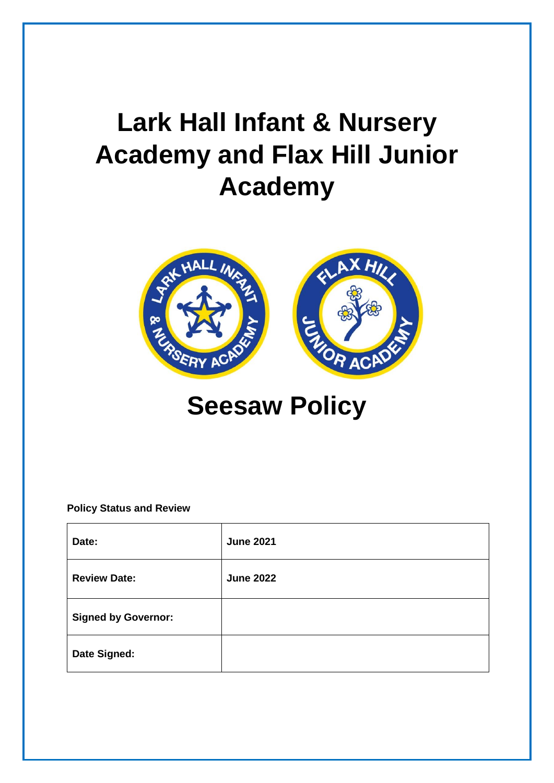# **Lark Hall Infant & Nursery Academy and Flax Hill Junior Academy**



# **Seesaw Policy**

# **Policy Status and Review**

| Date:                      | <b>June 2021</b> |
|----------------------------|------------------|
| <b>Review Date:</b>        | <b>June 2022</b> |
| <b>Signed by Governor:</b> |                  |
| Date Signed:               |                  |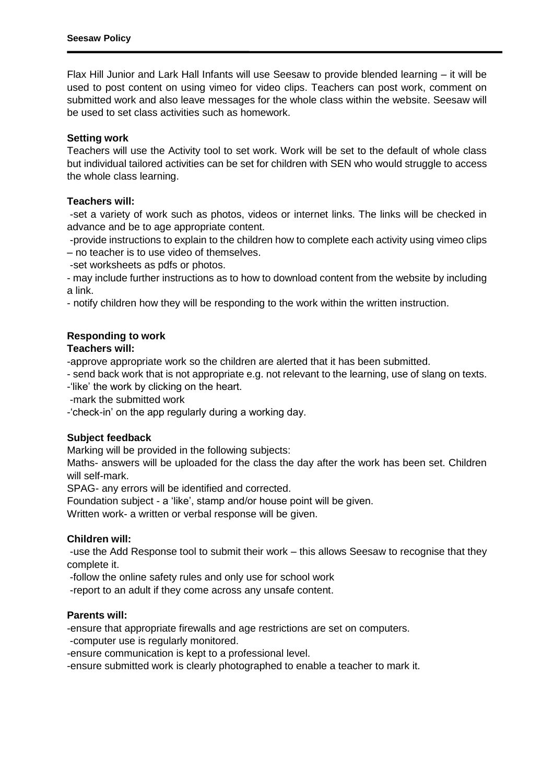Flax Hill Junior and Lark Hall Infants will use Seesaw to provide blended learning – it will be used to post content on using vimeo for video clips. Teachers can post work, comment on submitted work and also leave messages for the whole class within the website. Seesaw will be used to set class activities such as homework.

# **Setting work**

Teachers will use the Activity tool to set work. Work will be set to the default of whole class but individual tailored activities can be set for children with SEN who would struggle to access the whole class learning.

# **Teachers will:**

-set a variety of work such as photos, videos or internet links. The links will be checked in advance and be to age appropriate content.

-provide instructions to explain to the children how to complete each activity using vimeo clips – no teacher is to use video of themselves.

-set worksheets as pdfs or photos.

- may include further instructions as to how to download content from the website by including a link.

- notify children how they will be responding to the work within the written instruction.

# **Responding to work**

#### **Teachers will:**

-approve appropriate work so the children are alerted that it has been submitted.

- send back work that is not appropriate e.g. not relevant to the learning, use of slang on texts.

- -'like' the work by clicking on the heart.
- -mark the submitted work
- -'check-in' on the app regularly during a working day.

#### **Subject feedback**

Marking will be provided in the following subjects:

Maths- answers will be uploaded for the class the day after the work has been set. Children will self-mark.

SPAG- any errors will be identified and corrected.

Foundation subject - a 'like', stamp and/or house point will be given.

Written work- a written or verbal response will be given.

#### **Children will:**

-use the Add Response tool to submit their work – this allows Seesaw to recognise that they complete it.

-follow the online safety rules and only use for school work

-report to an adult if they come across any unsafe content.

# **Parents will:**

-ensure that appropriate firewalls and age restrictions are set on computers.

-computer use is regularly monitored.

-ensure communication is kept to a professional level.

-ensure submitted work is clearly photographed to enable a teacher to mark it.